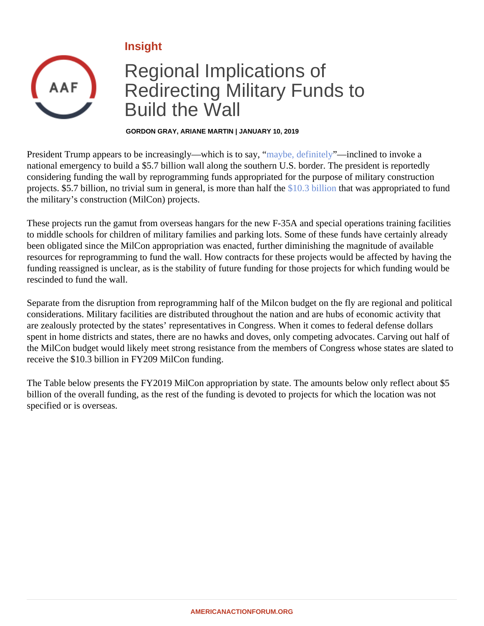Insight

## Regional Implications of Redirecting Military Funds to Build the Wall

GORDON GRAY, ARIANE MARTIN | JANUARY 10, 2019

President Trump appears to be increasingly—which is to say, be, definitely—inclined to invoke a national emergency to build a \$5.7 billion wall along the southern U.S. border. The president is reportedly considering funding the wall by reprogramming funds appropriated for the purpose of military construction projects. \$5.7 billion, no trivial sum in general, is more than half the 3 billion that was appropriated to fund the military's construction (MilCon) projects.

These projects run the gamut from overseas hangars for the new F-35A and special operations training facilities to middle schools for children of military families and parking lots. Some of these funds have certainly already been obligated since the MilCon appropriation was enacted, further diminishing the magnitude of available resources for reprogramming to fund the wall. How contracts for these projects would be affected by having the funding reassigned is unclear, as is the stability of future funding for those projects for which funding would be rescinded to fund the wall.

Separate from the disruption from reprogramming half of the Milcon budget on the fly are regional and politica considerations. Military facilities are distributed throughout the nation and are hubs of economic activity that are zealously protected by the states' representatives in Congress. When it comes to federal defense dollars spent in home districts and states, there are no hawks and doves, only competing advocates. Carving out half the MilCon budget would likely meet strong resistance from the members of Congress whose states are slate receive the \$10.3 billion in FY209 MilCon funding.

The Table below presents the FY2019 MilCon appropriation by state. The amounts below only reflect about \$ billion of the overall funding, as the rest of the funding is devoted to projects for which the location was not specified or is overseas.